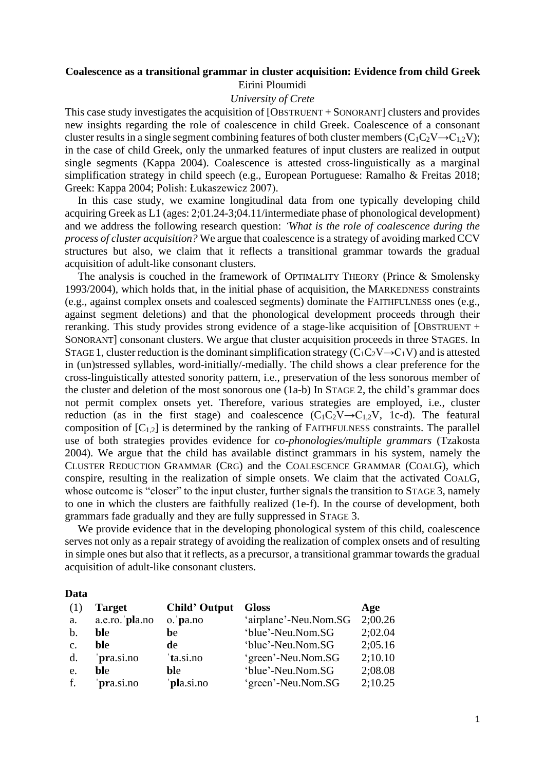## **Coalescence as a transitional grammar in cluster acquisition: Evidence from child Greek** Eirini Ploumidi

## *University of Crete*

This case study investigates the acquisition of [OBSTRUENT + SONORANT] clusters and provides new insights regarding the role of coalescence in child Greek. Coalescence of a consonant cluster results in a single segment combining features of both cluster members ( $C_1C_2V\rightarrow C_{1,2}V$ ); in the case of child Greek, only the unmarked features of input clusters are realized in output single segments (Kappa 2004). Coalescence is attested cross-linguistically as a marginal simplification strategy in child speech (e.g., European Portuguese: Ramalho & Freitas 2018; Greek: Kappa 2004; Polish: Łukaszewicz 2007).

In this case study, we examine longitudinal data from one typically developing child acquiring Greek as L1 (ages: 2;01.24-3;04.11/intermediate phase of phonological development) and we address the following research question: *'What is the role of coalescence during the process of cluster acquisition?* We argue that coalescence is a strategy of avoiding marked CCV structures but also, we claim that it reflects a transitional grammar towards the gradual acquisition of adult-like consonant clusters.

The analysis is couched in the framework of OPTIMALITY THEORY (Prince & Smolensky 1993/2004), which holds that, in the initial phase of acquisition, the MARKEDNESS constraints (e.g., against complex onsets and coalesced segments) dominate the FAITHFULNESS ones (e.g., against segment deletions) and that the phonological development proceeds through their reranking. This study provides strong evidence of a stage-like acquisition of  $[OBTRUENT +$ SONORANT] consonant clusters. We argue that cluster acquisition proceeds in three STAGES. In STAGE 1, cluster reduction is the dominant simplification strategy  $(C_1C_2V\rightarrow C_1V)$  and is attested in (un)stressed syllables, word-initially/-medially. The child shows a clear preference for the cross-linguistically attested sonority pattern, i.e., preservation of the less sonorous member of the cluster and deletion of the most sonorous one (1a-b) In STAGE 2, the child's grammar does not permit complex onsets yet. Therefore, various strategies are employed, i.e., cluster reduction (as in the first stage) and coalescence  $(C_1C_2V \rightarrow C_{1,2}V, 1c-d)$ . The featural composition of  $[C_{1,2}]$  is determined by the ranking of FAITHFULNESS constraints. The parallel use of both strategies provides evidence for *co-phonologies/multiple grammars* (Tzakosta 2004). We argue that the child has available distinct grammars in his system, namely the CLUSTER REDUCTION GRAMMAR (CRG) and the COALESCENCE GRAMMAR (COALG), which conspire, resulting in the realization of simple onsets. We claim that the activated COALG, whose outcome is "closer" to the input cluster, further signals the transition to STAGE 3, namely to one in which the clusters are faithfully realized (1e-f). In the course of development, both grammars fade gradually and they are fully suppressed in STAGE 3.

We provide evidence that in the developing phonological system of this child, coalescence serves not only as a repair strategy of avoiding the realization of complex onsets and of resulting in simple ones but also that it reflects, as a precursor, a transitional grammar towards the gradual acquisition of adult-like consonant clusters.

## **Data**

| (1)            | <b>Target</b>  | <b>Child' Output</b> | <b>Gloss</b>          | Age     |
|----------------|----------------|----------------------|-----------------------|---------|
| a.             | a.e.ro. pla.no | o. pa.no             | 'airplane'-Neu.Nom.SG | 2;00.26 |
| $\mathbf{b}$ . | ble            | be                   | 'blue'-Neu.Nom.SG     | 2;02.04 |
| $\mathbf{c}$ . | ble            | de                   | 'blue'-Neu.Nom.SG     | 2;05.16 |
| d.             | pra.si.no      | 'ta.si.no            | 'green'-Neu.Nom.SG    | 2;10.10 |
| e.             | <b>bl</b> e    | ble                  | 'blue'-Neu.Nom.SG     | 2;08.08 |
| f.             | pra.si.no      | pla.si.no            | 'green'-Neu.Nom.SG    | 2;10.25 |